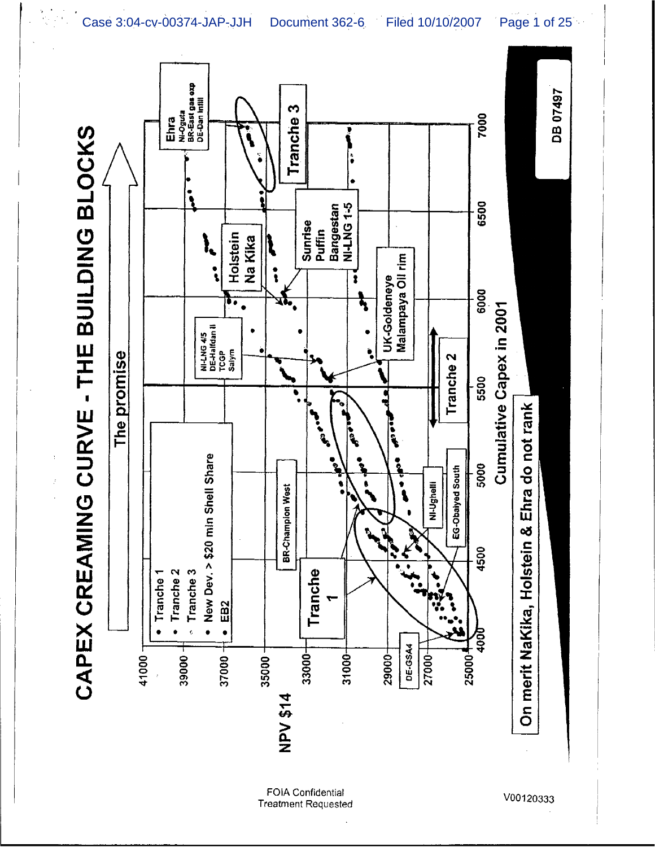Ehra<br><sub>Ni-Oguta</sub><br>BR-East gas exp<br>DE-Dan Infill DB 07497 Tranche<sub>3</sub> 7000 CAPEX CREAMING CURVE - THE BUILDING BLOCKS Bangestan<br>NI-LNG 1-5 6500 Sunrise<br>Puffin Holstein Na Kika Malampaya Oil rim  $\ddot{\cdot}$ UK-Goldeneye  $\bullet$ 6000 Cumulative Capex in 2001 NI-LNG 4/5<br>DE-Halfdan II<br>TCGP<br>Salym The promise Tranche<sub>2</sub>  $\frac{1}{3500}$ On merit NaKika, Holstein & Ehra do not rank **Ancie CONTROL** ·<br>。<br>。 • New Dev. > \$20 min Shell Share 5000 EG-Obaiyed South NI-Ughelli **BR-Champion West** 4500 Tranche Tranche<sub>2</sub> Tranche 3 Tranche 1 EB<sub>2</sub>  $\bullet$  $\epsilon$  $\bullet$ **DE-GSA4** 33000-35000- $31000 29000 -$ 27000-41000 39000 37000-25000 NPV \$14

> **FOIA Confidential Treatment Requested**

V00120333

Case 3:04-cv-00374-JAP-JJH Document 362-6 Filed 10/10/2007 Page 1 of 25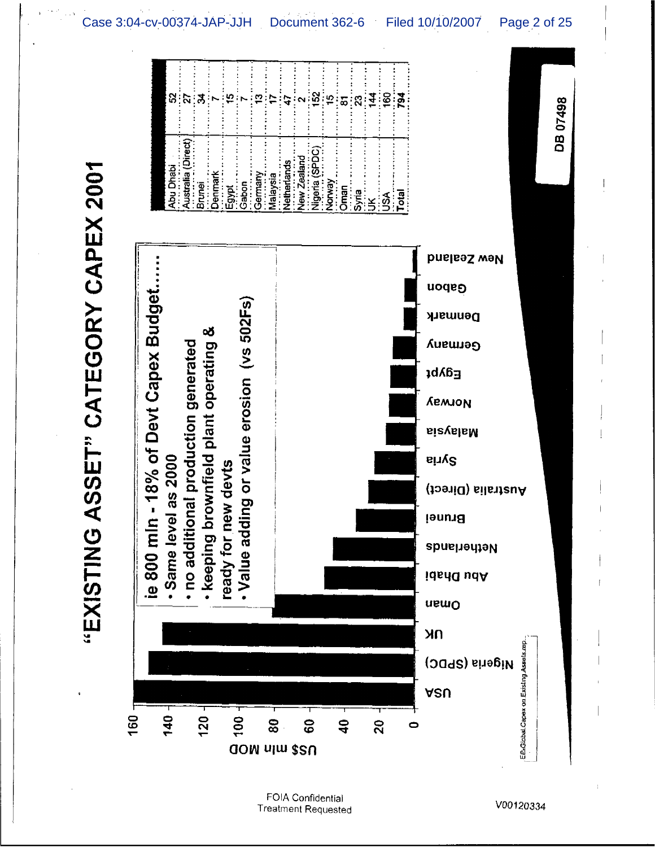"EXISTING ASSET" CATEGORY CAPEX 2001



FOIA Confidential **Treatment Requested**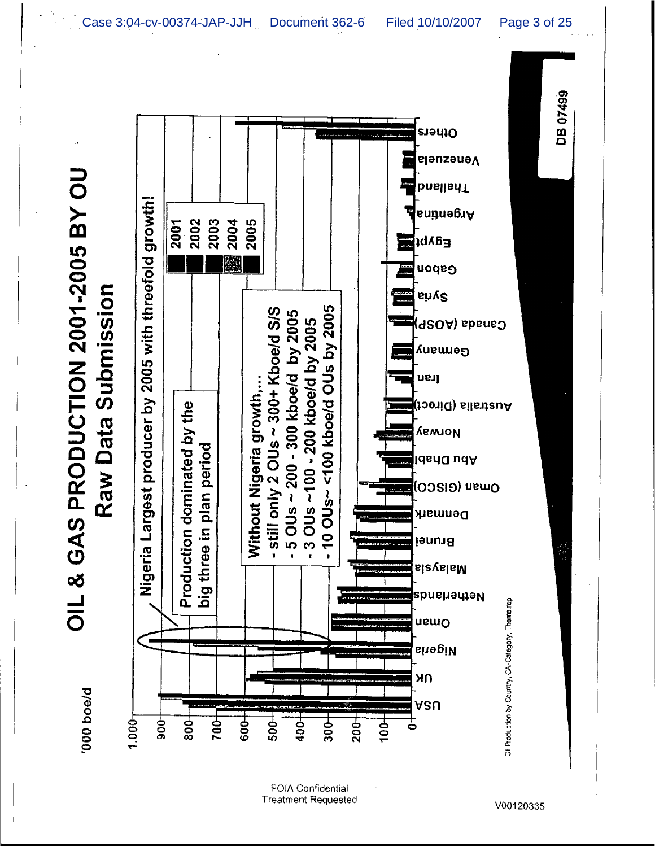OIL & GAS PRODUCTION 2001-2005 BY OU

**D/eoq 000.** 



FOIA Confidential **Treatment Requested**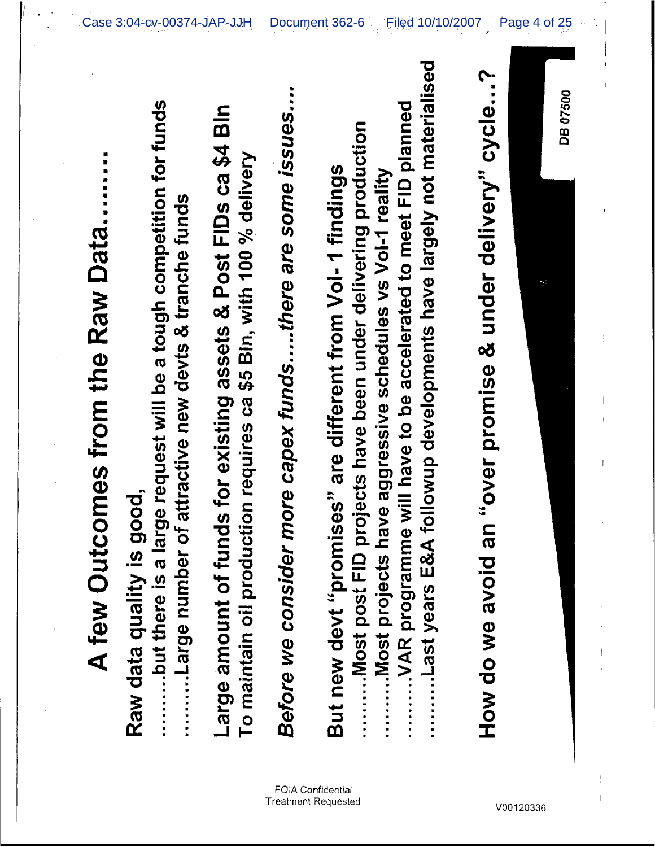Raw data quality is good,

...........but there is a large request will be a tough competition for funds ........Large number of attractive new devts & tranche funds

Large amount of funds for existing assets & Post FIDs ca \$4 Bln To maintain oil production requires ca \$5 Bln, with 100 % delivery Before we consider more capex funds....there are some issues....

...Last years E&A followup developments have largely not materialised ...VAR programme will have to be accelerated to meet FID planned .. Most post FID projects have been under delivering production But new devt "promises" are different from Vol-1 findings ...Most projects have aggressive schedules vs VoI-1 reality

How do we avoid an "over promise & under delivery" cycle...?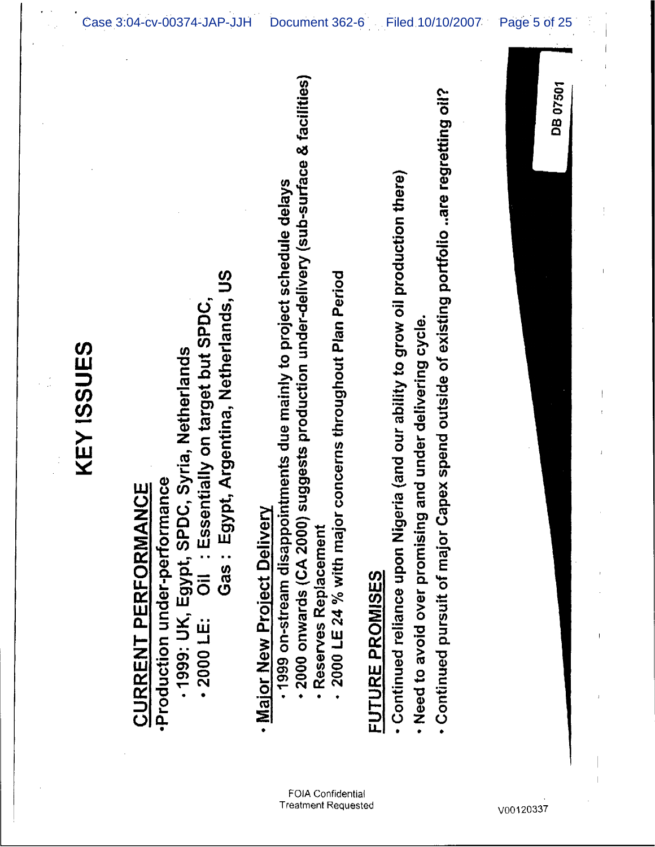| gypt, Argentina, Netherlands, US<br>-2000 LE: Oil : Essentially on target but SPDC,<br>-1999: UK, Egypt, SPDC, Syria, Netherlands<br>Production under-performance<br><b>CURRENT PERFORMANCE</b><br>Gas: E | 2000 onwards (CA 2000) suggests production under-delivery (sub-surface & facilities)<br>pointments due mainly to project schedule delays<br>jor concerns throughout Plan Period<br><b>Vah</b><br>· Reserves Replacement<br>· Major New Project Deliv<br>2000 LE 24 % with ma<br>1999 on-stream disap | · Continued pursuit of major Capex spend outside of existing portfolio are regretting oil?<br>• Continued reliance upon Nigeria (and our ability to grow oil production there)<br>· Need to avoid over promising and under delivering cycle.<br>FUTURE PROMISES | <b>DB 07501</b> |
|-----------------------------------------------------------------------------------------------------------------------------------------------------------------------------------------------------------|------------------------------------------------------------------------------------------------------------------------------------------------------------------------------------------------------------------------------------------------------------------------------------------------------|-----------------------------------------------------------------------------------------------------------------------------------------------------------------------------------------------------------------------------------------------------------------|-----------------|
|                                                                                                                                                                                                           |                                                                                                                                                                                                                                                                                                      |                                                                                                                                                                                                                                                                 |                 |

## KEY ISSUES

## FOIA Confidential **Treatment Requested**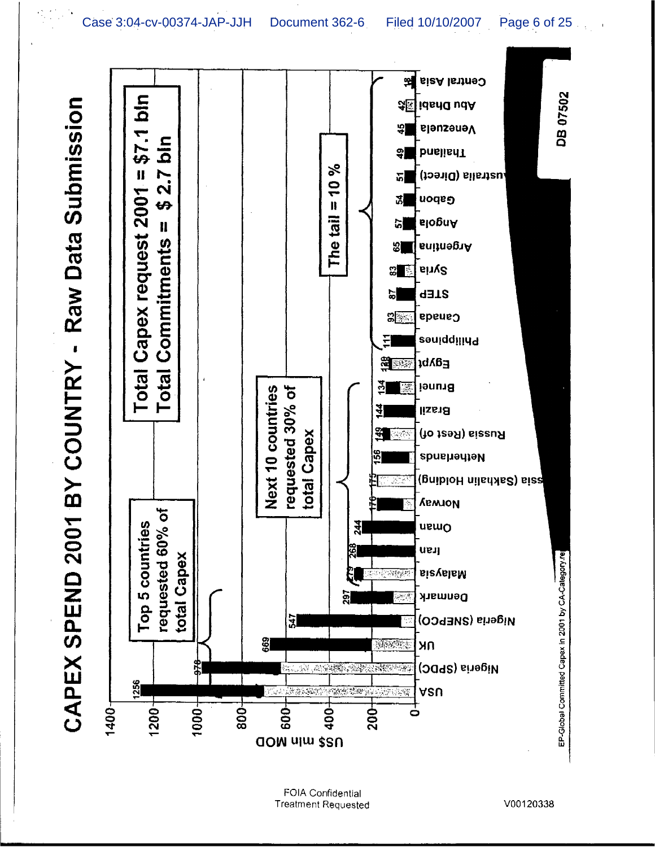CAPEX SPEND 2001 BY COUNTRY - Raw Data Submission

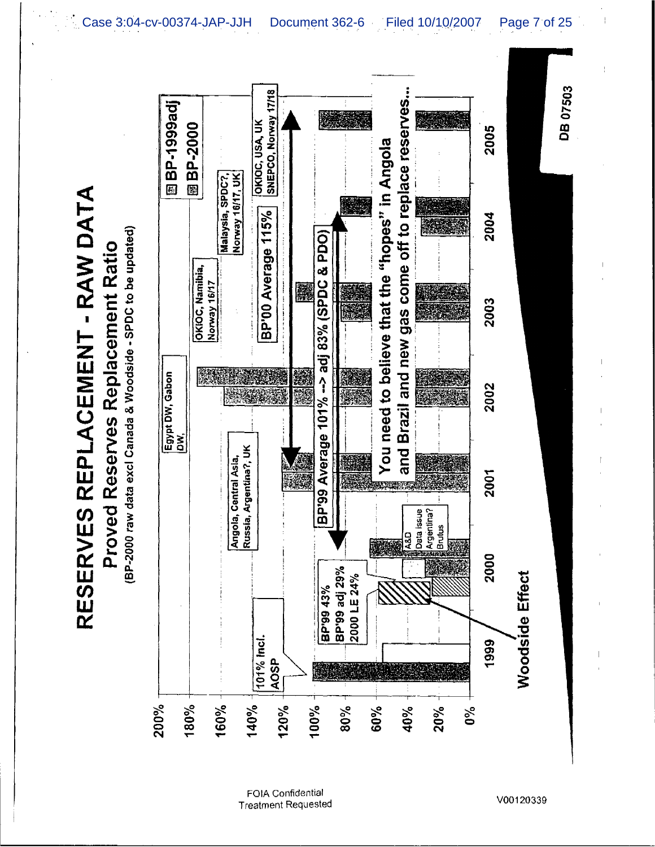(BP-2000 raw data excl Canada & Woodside - SPDC to be updated) Proved Reserves Replacement Ratio

RESERVES REPLACEMENT - RAW DATA



FOIA Confidential **Treatment Requested**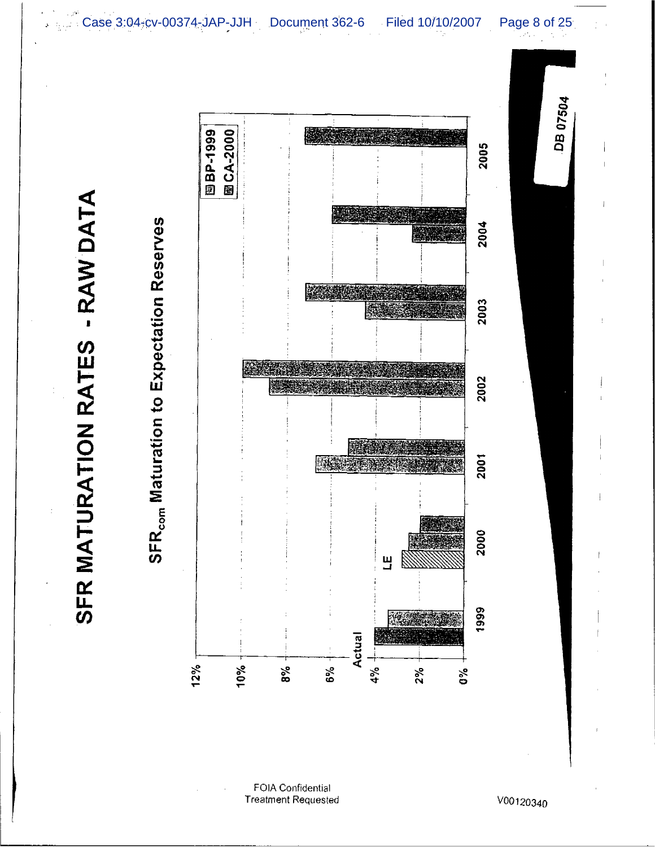SFR MATURATION RATES - RAW DATA



FOIA Confidential **Treatment Requested**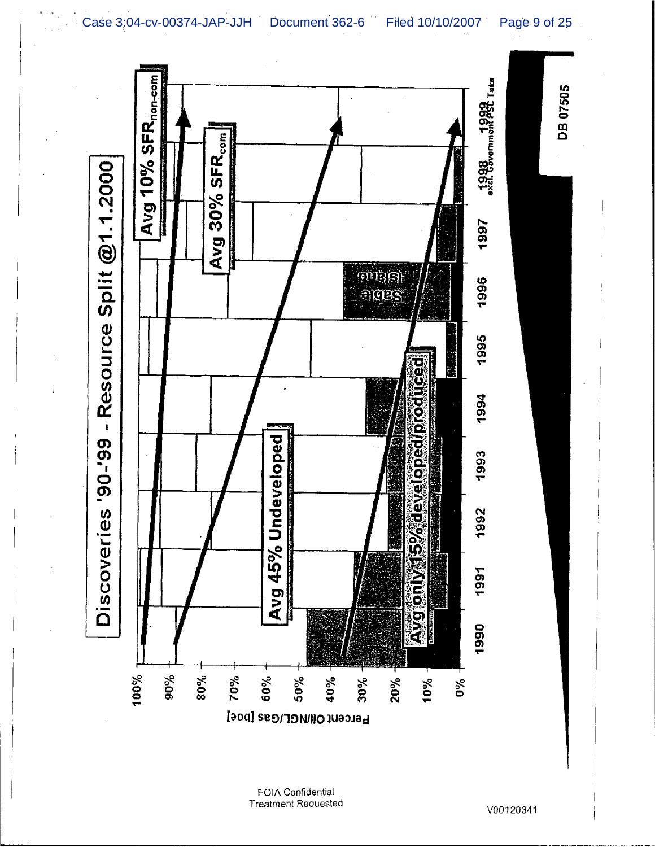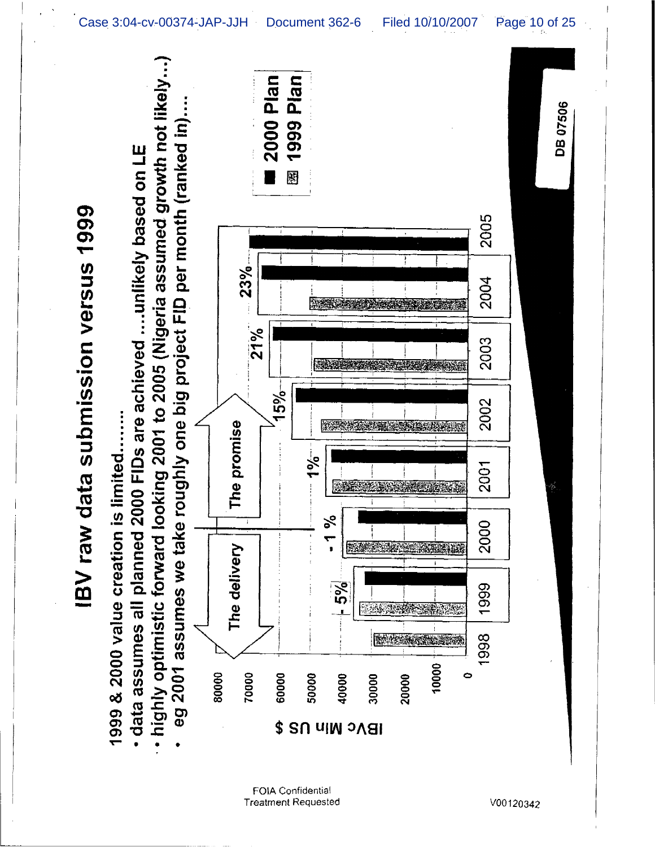

Case 3:04-cv-00374-JAP-JJH Document 362-6 Filed 10/10/2007 Page 10 of 25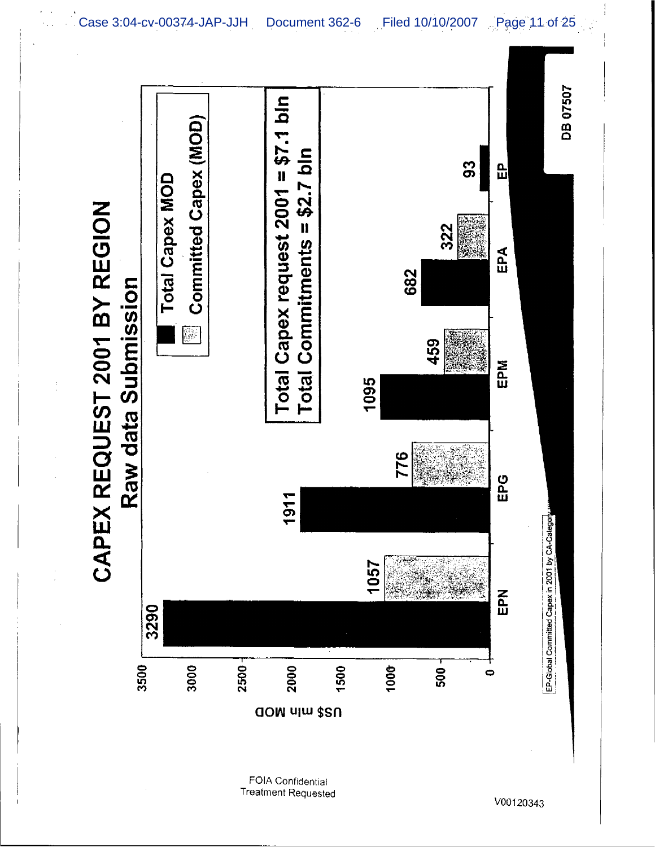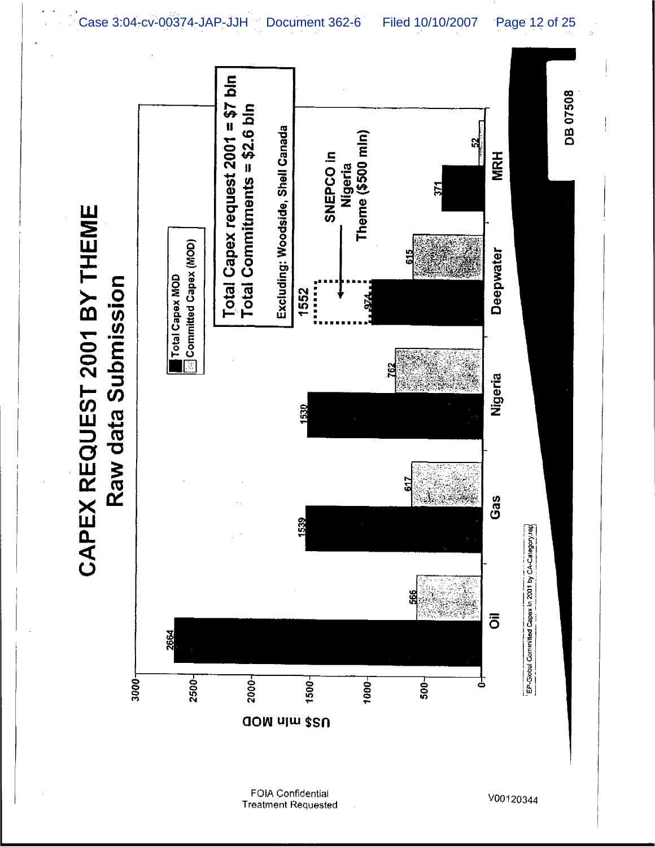



3000-



**FOIA Confidential Treatment Requested** 

V00120344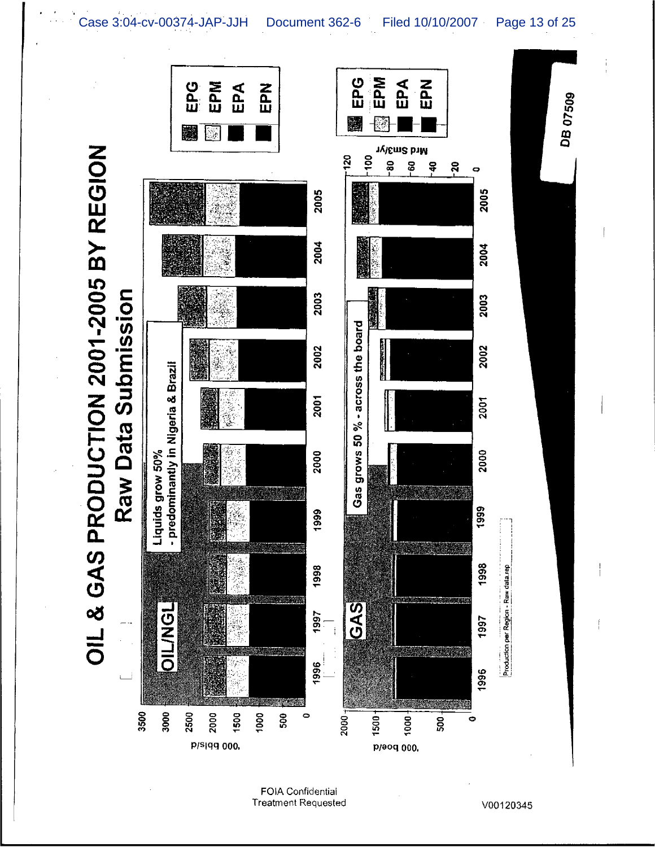Case 3:04-cv-00374-JAP-JJH Document 362-6 Filed 10/10/2007 Page 13 of 25



**FOIA Confidential Treatment Requested**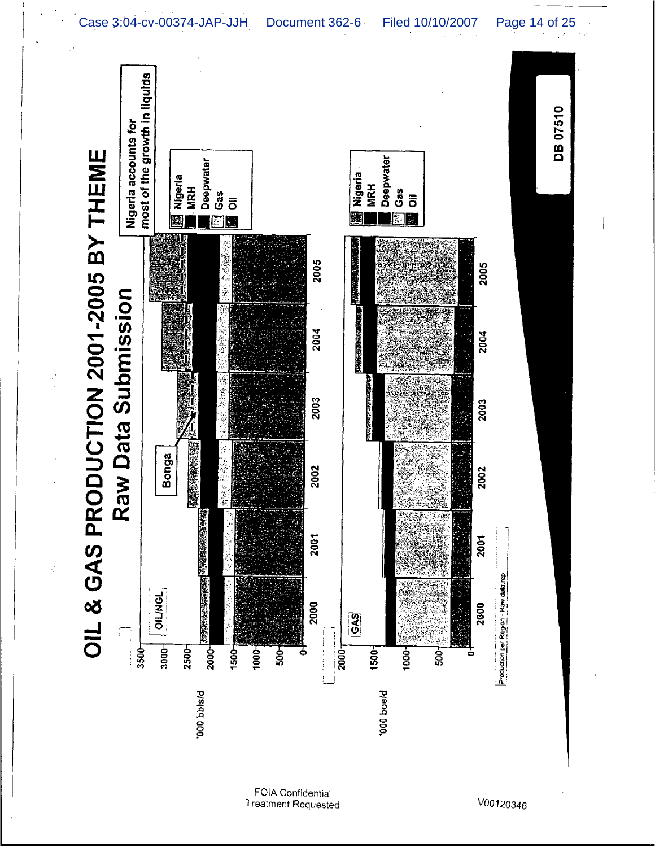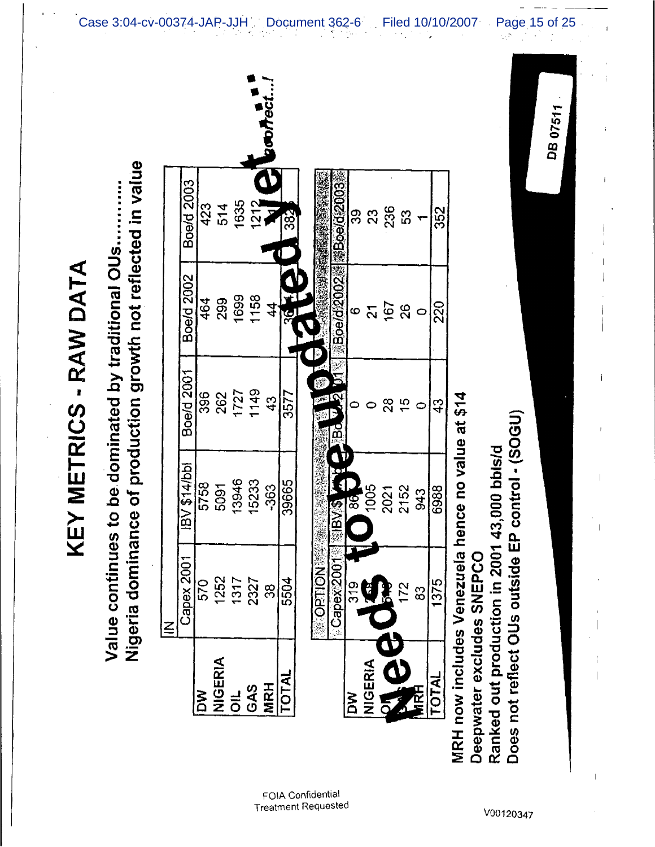|                               | $\leq$                            |                                                                   |               |                   |                                              |
|-------------------------------|-----------------------------------|-------------------------------------------------------------------|---------------|-------------------|----------------------------------------------|
|                               | Capex 2001                        | <b>IBV \$14/bbl</b>                                               | Boe/d 2001    | Boe/d 2002        | Boe/d 2003                                   |
| λή                            | 570                               | 5758                                                              | 396           | 464               | 423                                          |
| <b>AIGERIA</b>                | 1252                              | 5091                                                              | 262           | 299               | 514                                          |
| $\vec{a}$                     | 1317                              | 13946                                                             | 1727          | 1699              | 1635                                         |
| GAS                           | 2327                              | 15233                                                             | 1149          | 1158              |                                              |
| <b>MRH</b>                    | အိ                                | -363                                                              | $\frac{3}{4}$ | 4                 | $\overline{\textbf{C}}$<br>$rac{3}{1212}$    |
| TOTAL                         | 5504                              | 39665                                                             | 3577          | 36                | 382                                          |
|                               | <b>SACTED DRIVER</b><br>Capex2001 | <b>PASSING CAPE</b>                                               | ں<br>پی       |                   | 第Boe/d2002 料漆Boe/d22003<br>O TANK ALL SEARCH |
| <b>MG</b>                     |                                   |                                                                   | $\frac{1}{2}$ |                   |                                              |
|                               | 319                               | 86                                                                |               | $\mathbf  \omega$ | 33                                           |
| <b>NIGERIA</b>                | <u> 13</u>                        | 1005                                                              |               | $\overline{5}$    | 33                                           |
| <b>POLITICAL</b>              |                                   | 2021                                                              | ಜ             | <b>167</b><br>26  | 236                                          |
|                               | 172                               | 2152                                                              | $\frac{5}{1}$ |                   | 53                                           |
|                               | 83                                | 943                                                               |               | O                 |                                              |
| <b>TOTAL</b>                  | 1375                              | 6988                                                              | $\frac{3}{4}$ | <u>ର</u>          | 352                                          |
| MRH now includes Venezuela    |                                   | hence no value at \$14                                            |               |                   |                                              |
| Deepwater excludes SNEPCO     |                                   |                                                                   |               |                   |                                              |
| Ranked out production in 2001 |                                   | Does not reflect OUs outside EP control - (SOGU)<br>43,000 bbls/d |               |                   |                                              |

DB 07511

Case 3:04-cv-00374-JAP-JJH Document 362-6 Filed 10/10/2007 Page 15 of 25

KEY METRICS - RAW DATA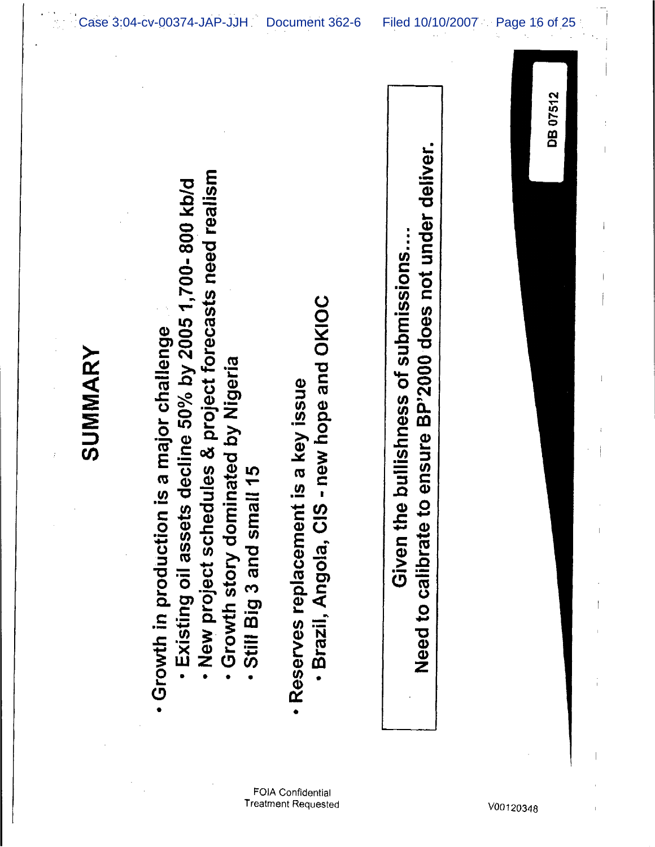|         |                                                                                                                                                                                                                                                |                                                                                           |                                                                                                        | DB 07512 |
|---------|------------------------------------------------------------------------------------------------------------------------------------------------------------------------------------------------------------------------------------------------|-------------------------------------------------------------------------------------------|--------------------------------------------------------------------------------------------------------|----------|
| SUMMARY | New project schedules & project forecasts need realism<br>Existing oil assets decline 50% by 2005 1,700-800 kb/d<br>n is a major challenge<br><b>Crowth story dominated by Nigeria</b><br>. Still Big 3 and small 15<br>· Growth in production | S-new hope and OKIOC<br>nt is a key issue<br>· Brazil, Angola, Cl<br>· Reserves replaceme | to ensure BP'2000 does not under deliver.<br>Given the bullishness of submissions<br>Need to calibrate |          |

L

Ť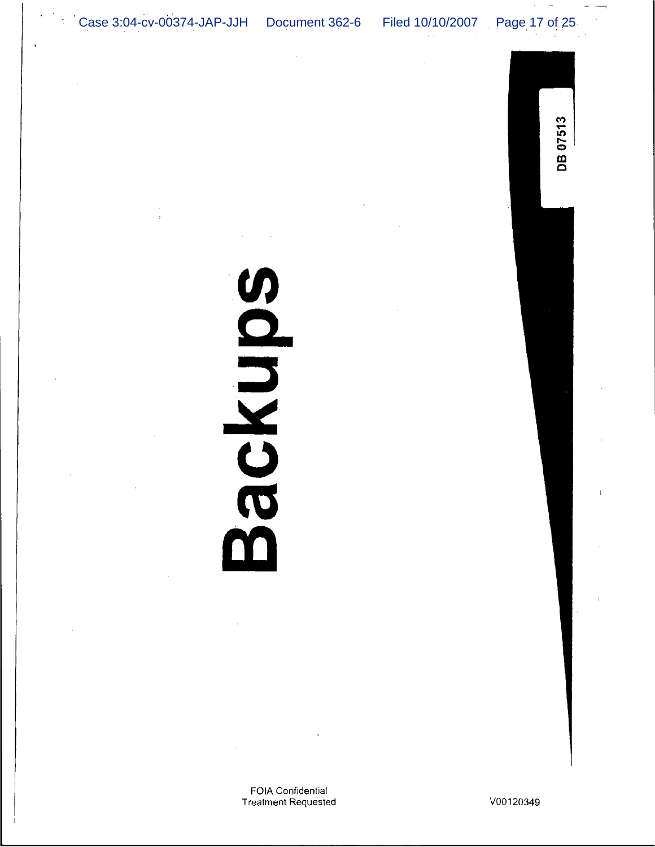Case 3:04-cv-00374-JAP-JJH Document 362-6

FOIA Confidential **Treatment Requested** 

**SORDNOS** 

Filed 10/10/2007

V00120349

Page 17 of 25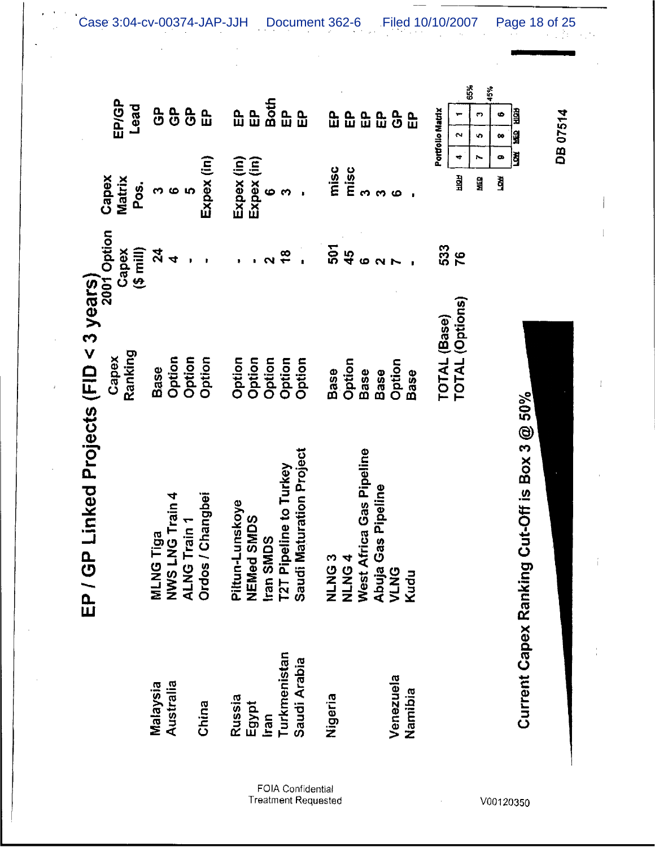|                       | ט<br>בב                                         | P Linked Projects (FID < 3 years)<br>2001 Option |                            |                                |                       |
|-----------------------|-------------------------------------------------|--------------------------------------------------|----------------------------|--------------------------------|-----------------------|
|                       |                                                 | Ranking<br>Capex                                 | $(5 \text{ min})$<br>Capex | Capex<br><b>Matrix</b><br>Pos. | EP/GP<br>Lead         |
| Malaysia              | Tiga<br><b>SATA</b>                             | <b>Base</b>                                      | $\mathbf{z}$               |                                | ე<br>ტ                |
| Australia             | LNG Train 4                                     | Option                                           | 4                          | 6                              | <u>၀</u>              |
|                       | <b>ALNG Train 1</b>                             | Option                                           |                            | IQ.                            | $\frac{\rho}{\sigma}$ |
| China                 | / Changbei<br>Ordos                             | Option                                           |                            | Expex (in)                     | $\mathbf{a}$          |
| Russia                | Piltun-Lunskoye                                 | Option                                           |                            | Expex (in)                     | 品                     |
| Egypt                 | NEMed SMDS                                      | Option                                           |                            | Expex (in)                     | 5g                    |
| Iran                  | <b>MDS</b><br>Iran SI                           | Option                                           |                            | $\ddot{\bullet}$               | Both                  |
| Turkmenistan          | T2T Pipeline to Turkey                          | Option                                           | $\frac{8}{1}$              | <b>CO</b>                      | $\mathbf{r}$          |
| Saudi Arabia          | <b>Maturation Project</b><br>Saudi <sup>l</sup> | Option                                           |                            |                                | <b>B</b>              |
| Nigeria               | <b>ONINE</b>                                    | <b>Base</b>                                      | 507                        | misc                           | 요<br>따                |
|                       | A<br><b>ONTA</b>                                | Option                                           | $\frac{15}{4}$             | misc                           | 읎                     |
|                       | West Africa Gas Pipeline                        | <b>Base</b>                                      | ဖ                          | ∞                              | 윤                     |
|                       | Gas Pipeline<br>Abuja<br>VLNG                   | Base                                             | $\sim$                     | ∞                              | $\mathbf{a}$          |
| Venezuela             |                                                 | Option                                           |                            | م،                             | င်္                   |
| Namibia               | Kudu                                            | Base                                             |                            |                                | $\mathbf{B}$          |
|                       |                                                 | TOTAL (Base)                                     | 533                        |                                | Portfollo Matrix      |
|                       |                                                 | <b>TOTAL (Options)</b>                           | 76                         | ₩<br>ЯTIC                      | $\sim$                |
|                       |                                                 |                                                  |                            | 일<br>보                         | 65%<br><b>D</b><br>v, |
|                       |                                                 |                                                  |                            | $\bullet$<br>ğ                 | 45%<br>G<br>99        |
|                       |                                                 |                                                  |                            | J                              | 雷望                    |
| Current Capex Ranking | Cut-Off is Box 3 $@$ 50%                        |                                                  |                            |                                |                       |
|                       |                                                 |                                                  |                            |                                | DB 07514              |
|                       |                                                 |                                                  |                            |                                |                       |

 $\alpha_{\rm{eff}}$ 

 $\bar{z}$ 

 $\sim$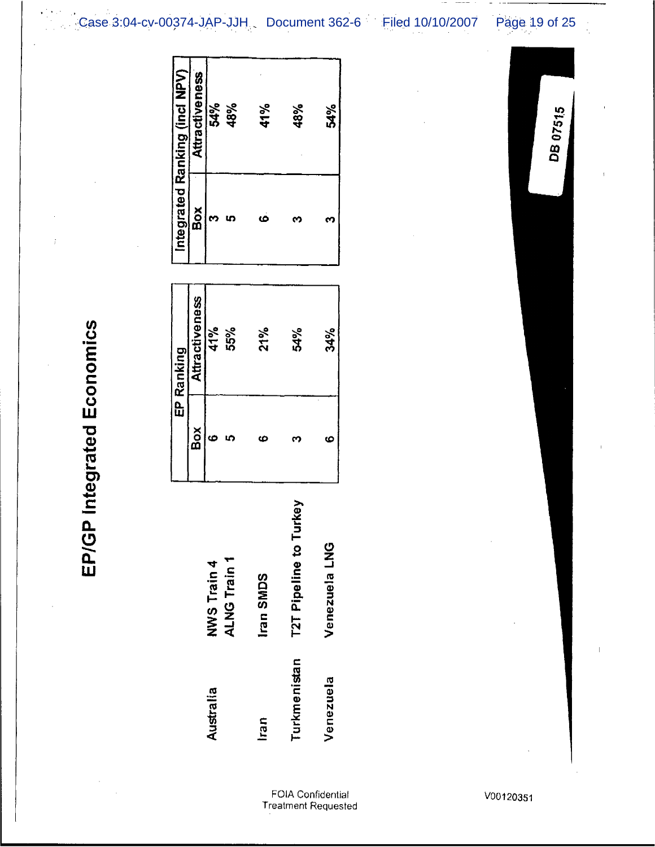Case 3:04-cv-00374-JAP-JJH Document 362-6 Filed 10/10/2007 Page 19 of 25

Integrated Ranking (incl NPV)

**Attractiveness** 

Box

**Attractiveness** 

Box

ဖော

ALNG Train 1 **NWS Train 4** 

Australia

Iran SMDS

Iran

EP Ranking

41%

55%

54%<br>48%

ო ს

41%

 $\bullet$ 

 $21%$ 

Ø

48%

6

54%

 $\mathbf{c}$ 

**T2T Pipeline to Turkey** 

Turkmenistan

54%

**M** 

34%

 $\bullet$ 

Venezuela LNG

Venezuela

DB 07515

EP/GP Integrated Economics

FOIA Confidential<br>Treatment Requested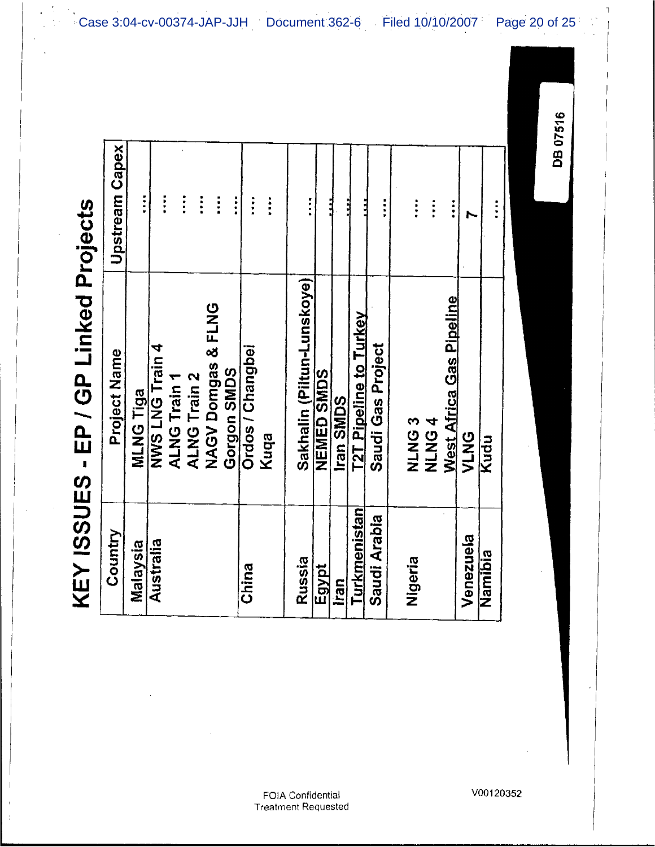KEY ISSUES - EP / GP Linked Proiects

| つコンソン・リン     | <b>SIDEL DANIII ID - II</b>   |                                    |
|--------------|-------------------------------|------------------------------------|
| Country      | Project Name                  | <b>Upstream Capex</b>              |
| Malaysia     | <b>MLNG Tiga</b>              | $\frac{1}{2}$                      |
| Australia    | <b>NWS LNG Train 4</b>        | $\ddot{\phantom{0}}$               |
|              | <b>ALNG Train 1</b>           |                                    |
|              | <b>ALNG Train 2</b>           | $\ddot{\phantom{a}}$<br>$\ddot{z}$ |
|              | <b>NAGV Domgas &amp; FLNG</b> | $\ddot{\phantom{a}}$               |
|              | Gorgon SMDS                   | $\vdots$                           |
| China        | Ordos / Changbei              | $\ddot{\phantom{a}}$               |
|              | Kuqa                          | $\ddot{\cdot}$                     |
| Russia       | Sakhalin (Piltun-Lunskoye)    | $\ddot{\phantom{a}}$               |
| Egypt        | <b>NEMED SMDS</b>             |                                    |
| <b>Iran</b>  | Iran SMDS                     |                                    |
| Turkmenistan | <u>T2T Pipeline to Turkey</u> |                                    |
| Saudi Arabia | Saudi Gas Project             | $\vdots$                           |
| Nigeria      | <b>CONNE</b>                  | $\ddot{ }$                         |
|              | <b>AUNINA</b>                 | $\ddot{}}$                         |
|              | West Africa Gas Pipeline      | $\ddot{}}$                         |
| Venezuela    | VLNG                          |                                    |
| Namibia      | Kudu                          |                                    |
|              |                               |                                    |

Case 3:04-cv-00374-JAP-JJH Document 362-6 Filed 10/10/2007 Page 20 of 25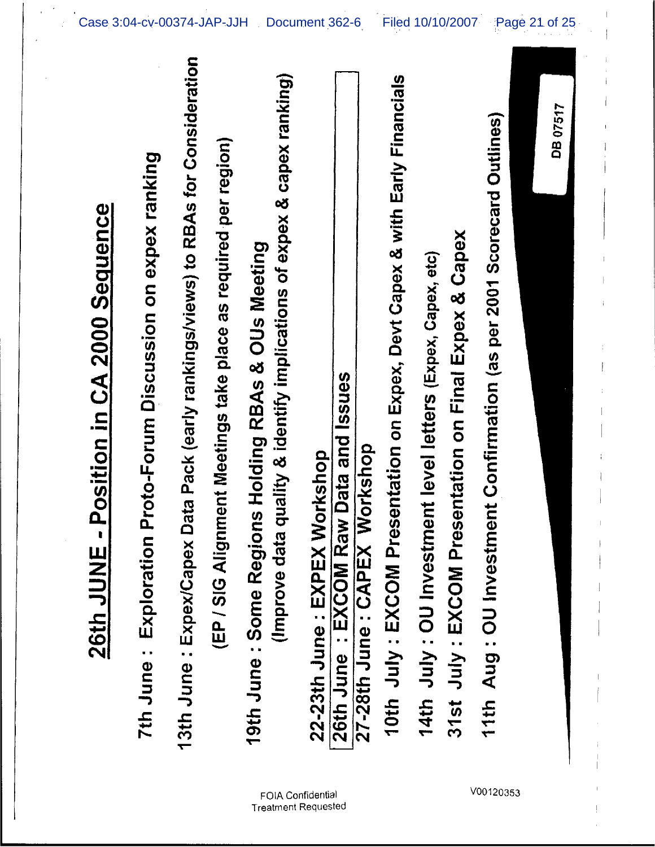| ata Pack (early rankings/views) to RBAs for Consideration<br>quality & identify implications of expex & capex ranking)<br>10th July: EXCOM Presentation on Expex, Devt Capex & with Early Financials<br>11th Aug: OU Investment Confirmation (as per 2001 Scorecard Outlines)<br>(EP / SIG Alignment Meetings take place as required per region)<br>Proto-Forum Discussion on expex ranking<br>Position in CA 2000 Sequence<br>31st July: EXCOM Presentation on Final Expex & Capex<br>19th June: Some Regions Holding RBAs & OUs Meeting<br>14th July: OU Investment level letters (Expex, Capex, etc)<br>26th June: EXCOM Raw Data and Issues<br>27-28th June: CAPEX Workshop<br>22-23th June: EXPEX Workshop<br>13th June : Expex/Capex D<br>$\blacksquare$<br>(Improve data<br>7th June : Exploration<br>26th JUNE |
|------------------------------------------------------------------------------------------------------------------------------------------------------------------------------------------------------------------------------------------------------------------------------------------------------------------------------------------------------------------------------------------------------------------------------------------------------------------------------------------------------------------------------------------------------------------------------------------------------------------------------------------------------------------------------------------------------------------------------------------------------------------------------------------------------------------------|
|------------------------------------------------------------------------------------------------------------------------------------------------------------------------------------------------------------------------------------------------------------------------------------------------------------------------------------------------------------------------------------------------------------------------------------------------------------------------------------------------------------------------------------------------------------------------------------------------------------------------------------------------------------------------------------------------------------------------------------------------------------------------------------------------------------------------|

Case 3:04-cv-00374-JAP-JJH Document 362-6 Filed 10/10/2007 Page 21 of 25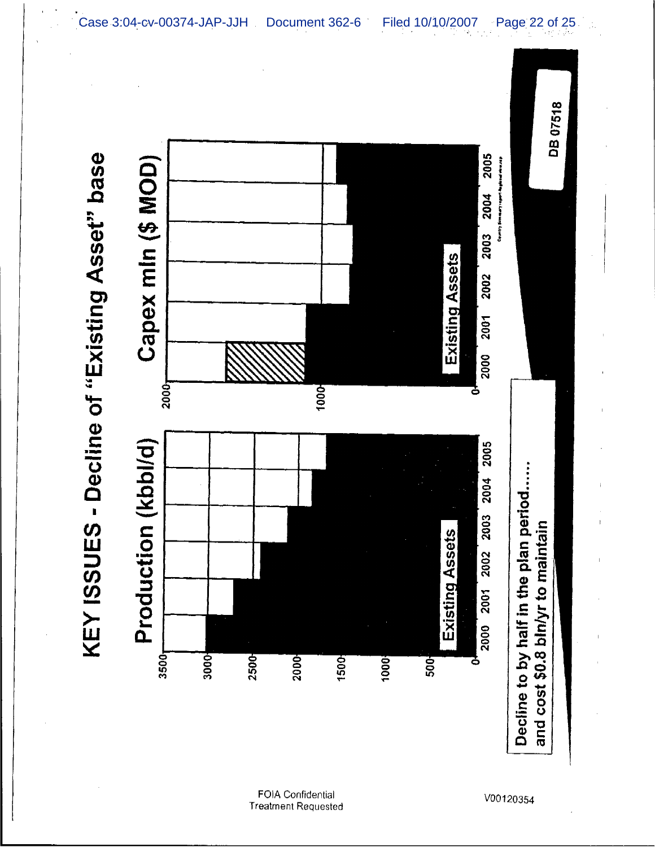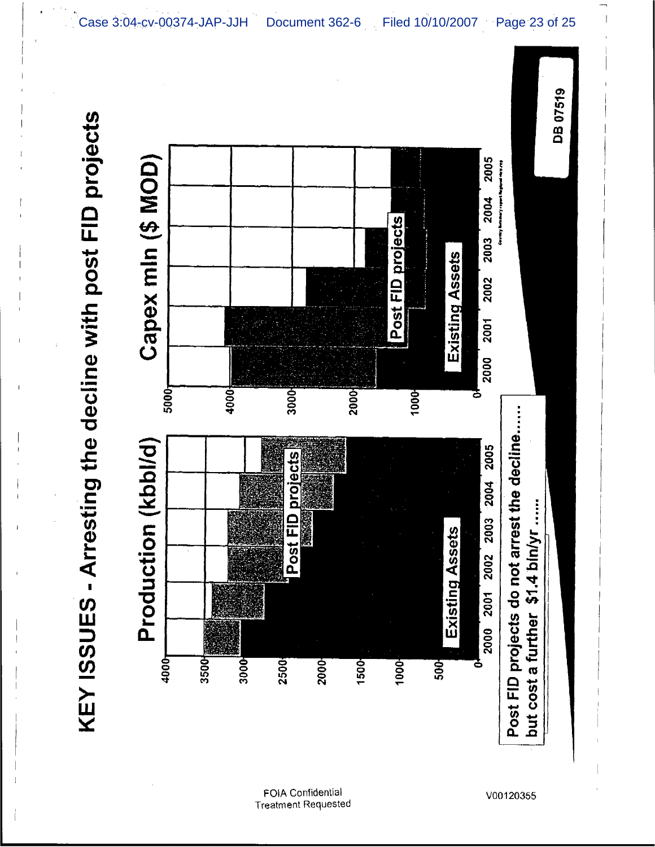



V00120355

Case 3:04-cv-00374-JAP-JJH Document 362-6 Filed 10/10/2007 Page 23 of 25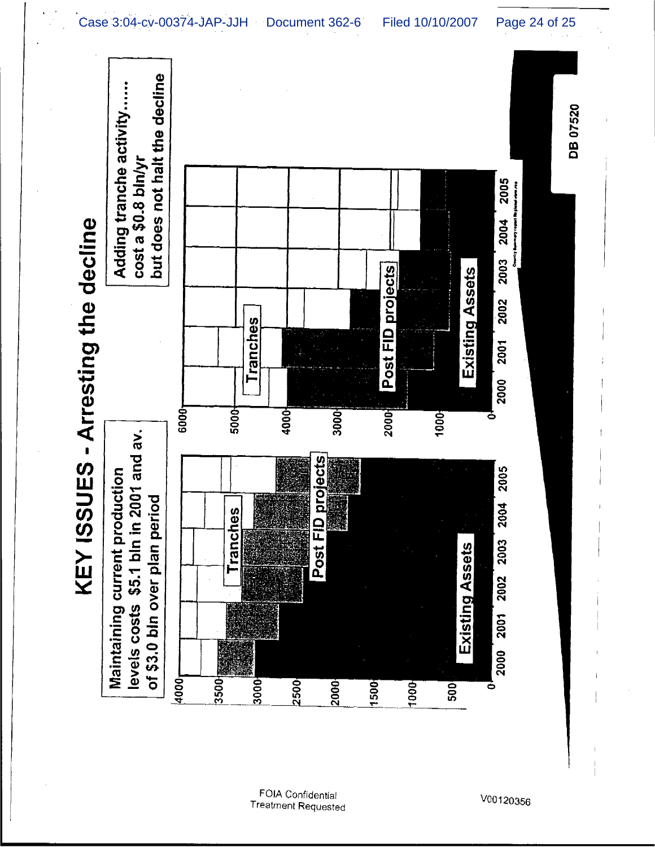